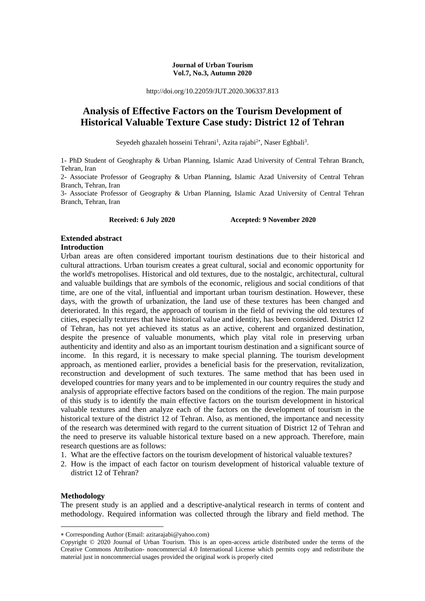#### **Journal of Urban Tourism Vol.7, No.3, Autumn 2020**

http://doi.org/10.22059/JUT.2020.306337.813

# **Analysis of Effective Factors on the Tourism Development of Historical Valuable Texture Case study: District 12 of Tehran**

Seyedeh ghazaleh hosseini Tehrani<sup>1</sup>, Azita rajabi<sup>2\*</sup>, Naser Eghbali<sup>3</sup>.

1- PhD Student of Geoghraphy & Urban Planning, Islamic Azad University of Central Tehran Branch, Tehran, Iran

2- Associate Professor of Geography & Urban Planning, Islamic Azad University of Central Tehran Branch, Tehran, Iran

3- Associate Professor of Geography & Urban Planning, Islamic Azad University of Central Tehran Branch, Tehran, Iran

**Received: 6 July 2020 Accepted: 9 November 2020**

#### **Extended abstract Introduction**

Urban areas are often considered important tourism destinations due to their historical and cultural attractions. Urban tourism creates a great cultural, social and economic opportunity for the world's metropolises. Historical and old textures, due to the nostalgic, architectural, cultural and valuable buildings that are symbols of the economic, religious and social conditions of that time, are one of the vital, influential and important urban tourism destination. However, these days, with the growth of urbanization, the land use of these textures has been changed and deteriorated. In this regard, the approach of tourism in the field of reviving the old textures of cities, especially textures that have historical value and identity, has been considered. District 12 of Tehran, has not yet achieved its status as an active, coherent and organized destination, despite the presence of valuable monuments, which play vital role in preserving urban authenticity and identity and also as an important tourism destination and a significant source of income. In this regard, it is necessary to make special planning. The tourism development approach, as mentioned earlier, provides a beneficial basis for the preservation, revitalization, reconstruction and development of such textures. The same method that has been used in developed countries for many years and to be implemented in our country requires the study and analysis of appropriate effective factors based on the conditions of the region. The main purpose of this study is to identify the main effective factors on the tourism development in historical valuable textures and then analyze each of the factors on the development of tourism in the historical texture of the district 12 of Tehran. Also, as mentioned, the importance and necessity of the research was determined with regard to the current situation of District 12 of Tehran and the need to preserve its valuable historical texture based on a new approach. Therefore, main research questions are as follows:

- 1. What are the effective factors on the tourism development of historical valuable textures?
- 2. How is the impact of each factor on tourism development of historical valuable texture of district 12 of Tehran?

#### **Methodology**

1

The present study is an applied and a descriptive-analytical research in terms of content and methodology. Required information was collected through the library and field method. The

Corresponding Author (Email: azitarajabi@yahoo.com)

Copyright © 2020 Journal of Urban Tourism. This is an open-access article distributed under the terms of the Creative Commons Attribution- noncommercial 4.0 International License which permits copy and redistribute the material just in noncommercial usages provided the original work is properly cited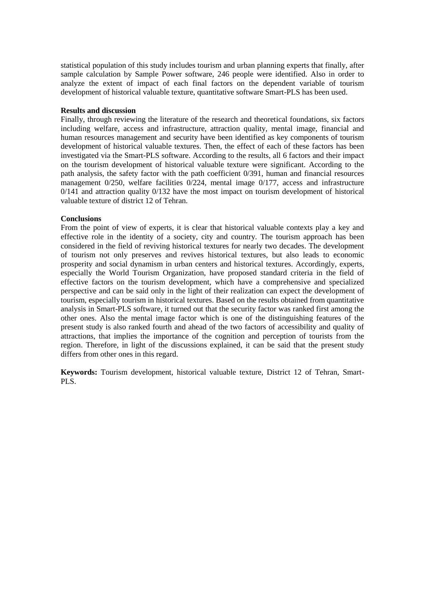statistical population of this study includes tourism and urban planning experts that finally, after sample calculation by Sample Power software, 246 people were identified. Also in order to analyze the extent of impact of each final factors on the dependent variable of tourism development of historical valuable texture, quantitative software Smart-PLS has been used.

#### **Results and discussion**

Finally, through reviewing the literature of the research and theoretical foundations, six factors including welfare, access and infrastructure, attraction quality, mental image, financial and human resources management and security have been identified as key components of tourism development of historical valuable textures. Then, the effect of each of these factors has been investigated via the Smart-PLS software. According to the results, all 6 factors and their impact on the tourism development of historical valuable texture were significant. According to the path analysis, the safety factor with the path coefficient 0/391, human and financial resources management 0/250, welfare facilities 0/224, mental image 0/177, access and infrastructure 0/141 and attraction quality 0/132 have the most impact on tourism development of historical valuable texture of district 12 of Tehran.

#### **Conclusions**

From the point of view of experts, it is clear that historical valuable contexts play a key and effective role in the identity of a society, city and country. The tourism approach has been considered in the field of reviving historical textures for nearly two decades. The development of tourism not only preserves and revives historical textures, but also leads to economic prosperity and social dynamism in urban centers and historical textures. Accordingly, experts, especially the World Tourism Organization, have proposed standard criteria in the field of effective factors on the tourism development, which have a comprehensive and specialized perspective and can be said only in the light of their realization can expect the development of tourism, especially tourism in historical textures. Based on the results obtained from quantitative analysis in Smart-PLS software, it turned out that the security factor was ranked first among the other ones. Also the mental image factor which is one of the distinguishing features of the present study is also ranked fourth and ahead of the two factors of accessibility and quality of attractions, that implies the importance of the cognition and perception of tourists from the region. Therefore, in light of the discussions explained, it can be said that the present study differs from other ones in this regard.

**Keywords:** Tourism development, historical valuable texture, District 12 of Tehran, Smart-PLS.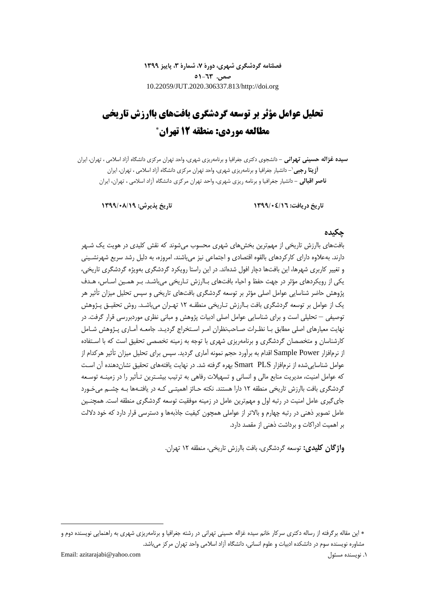**فصلنامه گردشگری شهری، دورۀ ،7 شمارۀ ،3 پاییز 1399 صص. 51-63** 10.22059/JUT.2020.306337.813/http://doi.org

# **تحلیل عوامل مؤثر بر توسعه گردشگری بافتهای باارزش تاریخی مطالعه موردی: منطقه 12 تهران**

**سیده غزاله حسینی تهرانی -** دانشجوی دکتری جغرافیا و برنامهریزی شهری، واحد تهران مرکزی دانشگاه آزاد اسالمی ، تهران، ایران **-** دانشیار جغرافیا و برنامهریزی شهری، واحد تهران مرکزی دانشگاه آزاد اسالمی ، تهران، ایران <sup>1</sup> **آزیتا رجبی ناصر اقبالی -** دانشیار جغرافیا و برنامه ریزی شهری، واحد تهران مرکزی دانشگاه آزاد اسالمی ، تهران، ایران

**تاریخ دریافت: 1399/04/16 تاریخ پذیرش: 1399/08/19**

### **چکیده**

بافتهای باارزش تاریخی از مهمترین بخشهای شهری محسوب میشوند که نقش کلیدی در هویت یک شـهر دارند. بهعالوه دارای کارکردهای بالقوه اقتصادی و اجتماعی نیز میباشند. امروزه، به دلیل رشد سریع شهرنشـینی و تغییر کاربری شهرها، این بافتها دچار افول شدهاند. در این راستا رویکرد گردشگری بهویژه گردشگری تاریخی، یکی از رویکردهای مؤثر در جهت حفب و احیاء بافتهای بـاارزش تـاریخی میباشـد. بـر همـین اسـاس، هـدف پژوهش حاضر شناسایی عوامل اصلی مؤثر بر توسعه گردشگری بافتهای تاریخی و سپس تحلیل میزان تأثیر هر یک از عوامل بر توسعه گردشگری بافت بـاارزش تـاریخی منطقـه 12 تهـران میباشـد. روش تحقیـق پـژوهش توصیفی – تحلیلی است و برای شناسایی عوامل اصلی ادبیات پژوهش و مبانی نظری موردبررسی قرار گرفت. در نهایت معیارهای اصلی مطابق بـا نظـرات صـاحبنظران امـر اسـتخراج گردیـد. جامعـه آمـاری پـژوهش شـامل کارشناسان و متخصصان گردشگری و برنامهریزی شهری با توجه به زمینه تخصصی تحقیق است که با اسـتفاده از نرمافزار Power Sample اقدام به برآورد حجم نمونه آماری گردید. سپس برای تحلیل میزان تأثیر هرکدام از عوامل شناساییشده از نرمافزار PLS Smart بهره گرفته شد. در نهایت یافتههای تحقیق نشاندهنده آن اسـت که عوامل امنیت، مدیریت منابع مالی و انسانی و تسهیالت رفاهی به ترتیب بیشـترین تـأثیر را در زمینـه توسـعه گردشگری بافت باارزش تاریخی منطقه 12 دارا هستند. نکته حـائز اهمیتـی کـه در یافتـهها بـه چشـم میخـورد جایگیری عامل امنیت در رتبه اول و مهمترین عامل در زمینه موفقیت توسعه گردشگری منطقه است. همچنـین عامل تصویر ذهنی در رتبه چهارم و باالتر از عواملی همچون کیفیت جاذبهها و دسترسی قرار دارد که خود داللت بر اهمیت ادراکات و برداشت ذهنی از مقصد دارد.

**واژگان کلیدی:** توسعه گردشگری، بافت باارزش تاریخی، منطقه 12 تهران.

**.** 

این مقاله برگرفته از رساله دکتری سرکار خانم سیده غزاله حسینی تهرانی در رشته جغرافیا و برنامهریزی شهری به راهنمایی نویسنده دوم و مشاوره نویسنده سوم در دانشکده ادبیات و علوم انسانی، دانشگاه آزاد اسالمی واحد تهران مرکز میباشد.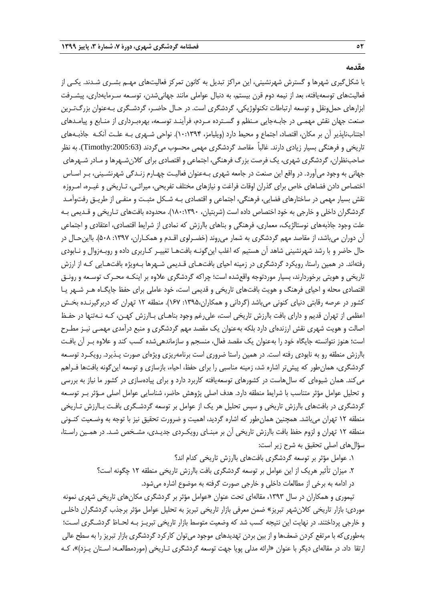#### **مقدمه**

با شکلگیری شهرها و گسترش شهرنشینی، این مراکز تبدیل به کانون تمرکز فعالیتهای مهـم بشـری شـدند. یکـی از فعالیتهای توسعهیافته، بعد از نیمه دوم قرن بیستم، به دنبال عواملی مانند جهانیشدن، توسـعه سـرمایهداری، پیشـرفت ابزارهای حملونقل و توسعه ارتباطات تکنولوژیکی، گردشگری است. در حـال حاضـر، گردشـگری بـهعنوان بزررتـرین صنعت جهان نقش مهمـی در جابـهجایی مـنظم و گسـترده مـردم، فرآینـد توسـعه، بهرهبـرداری از منـابع و پیامـدهای اجتناب $باپذیر آن بر مکان، اقتصاد، اجتماع و محیط دارد (ویلیامز، ۱۳۹۴(.۱۰:۱). نواحی شـهری بـه علـت آنکـه  جاذبـههای$ تاریخی و فرهنگی بسیار زیادی دارند. غالباً مقاصد گردشگری مهمی محسوب میگردند (:2005:63Timothy(. به نظر صاحبنظران، گردشگری شهری، یک فرصت بزرر فرهنگی، اجتماعی و اقتصادی برای کالنشـهرها و مـادر شـهرهای جهانی به وجود میآورد. در واقع این صنعت در جامعه شهری بـهعنوان فعالیـت چهـارم زنـدگی شهرنشـینی، بـر اسـاس اختصاص دادن فضاهای خاص برای گذران اوقات فراغت و نیازهای مختلف تفریحی، میراثـی، تـاریخی و غیـره، امـروزه نقش بسیار مهمی در ساختارهای فضایی، فرهنگی، اجتماعی و اقتصادی بـه شـکل مثبـت و منفـی از طریـق رفتوآمـد گردشگران داخلی و خارجی به خود اختصاص داده است (شربتیان، ۱۳۹۰:۱۸۰۰). محدوده بافتهای تـاریخی و قـدیمی بـه علت وجود جاذبههای نوستالژیک، معماری، فرهنگی و بناهای باارزش که نمادی از شرایط اقتصادی، اعتقادی و اجتماعی آن دوران میباشد، از مقاصد مهم گردشگری به شمار میروند (خضـرلوی اقـدم و همکـاران، ۱۳۹۷: ۵۰۸). بااینحـال در حال حاضر و با رشد شهرنشینی شاهد آن هستیم که اغلب اینگونـه بافتهـا تغییـر کـاربری داده و روبـهزوال و نـابودی رفتهاند. در همین راستا، رویکرد گردشگری در زمینه احیای بافتهـای قـدیمی شـهرها بـهویژه بافتهـایی کـه از ارزش تاریخی و هویتی برخوردارند، بسیار موردتوجه واقعشده است؛ چراکه گردشگری عالوه بر اینکـه محـرك توسـعه و رونـق اقتصادی محله و احیای فرهنگ و هویت بافتهای تاریخی و قدیمی است، خود عاملی برای حفب جایگـاه هـر شـهر یـا کشور در عرصه رقابتی دنیای کنونی میباشد )گردانی و همکاران:1395، 167(. منطقه 12 تهران که دربرگیرنـده بخـش اعظمی از تهران قدیم و دارای بافت باارزش تاریخی است، علیرغم وجود بناهـای بـاارزش کهـن، کـه نـهتنها در حفـب اصالت و هویت شهری نقش ارزندهای دارد بلکه بهعنوان یک مقصد مهم گردشگری و منبع درآمدی مهمـی نیـز مطـرح است؛ هنوز نتوانسته جایگاه خود را بهعنوان یک مقصد فعال، منسجم و سازماندهیشده کسب کند و عالوه بـر آن بافـت باارزش منطقه رو به نابودی رفته است. در همین راستا ضروری است برنامهریزی ویژهای صورت پـذیرد. رویکـرد توسـعه گردشگری، همانطور که پیش تر اشاره شد، زمینه مناسبی را برای حفظ، احیاء، بازسازی و توسعه این گونه بافتها فـراهم میکند. همان شیوهای که سالهاست در کشورهای توسعهیافته کاربرد دارد و برای پیادهسازی در کشور ما نیاز به بررسی و تحلیل عوامل مؤثر متناسب با شرایط منطقه دارد. هدف اصلی پژوهش حاضر، شناسایی عوامل اصلی مـؤثر بـر توسـعه گردشگری در بافتهای باارزش تاریخی و سپس تحلیل هر یک از عوامل بر توسعه گردشـگری بافـت بـاارزش تـاریخی منطقه 12 تهران میباشد. همچنین همانطور که اشاره گردید، اهمیت و ضرورت تحقیق نیز با توجه به وضـعیت کنـونی منطقه 12 تهران و لزوم حفب بافت باارزش تاریخی آن بر مبنـای رویکـردی جدیـدی، مشـخص شـد. در همـین راسـتا، سؤالهای اصلی تحقیق به شرح زیر است:

- .1 عوامل مؤثر بر توسعه گردشگری بافتهای باارزش تاریخی کدام اند؟
- .2 میزان تأثیر هریک از این عوامل بر توسعه گردشگری بافت باارزش تاریخی منطقه 12 چگونه است؟ در ادامه به برخی از مطالعات داخلی و خارجی صورت گرفته به موضوع اشاره میشود.

تیموری و همکاران در سال ۱۳۹۳، مقالهای تحت عنوان «عوامل مؤثر بر گردشگری مکانهای تاریخی شهری نمونه موردی: بازار تاریخی کالنشهر تبریز« ضمن معرفی بازار تاریخی تبریز به تحلیل عوامل مؤثر برجذب گردشگران داخلـی و خارجی پرداختند. در نهایت این نتیجه کسب شد که وضعیت متوسط بازار تاریخی تبریـز بـه لحـاظ گردشـگری اسـت؛ بهطوریکه با مرتفع کردن ضعفها و از بین بردن تهدیدهای موجود میتوان کارکرد گردشگری بازار تبریز را به سطح عالی ارتقا داد. در مقالهای دیگر با عنوان «ارائه مدلی پویا جهت توسعه گردشگری تـاریخی (موردمطالعـه: اسـتان یـزد)»، کـه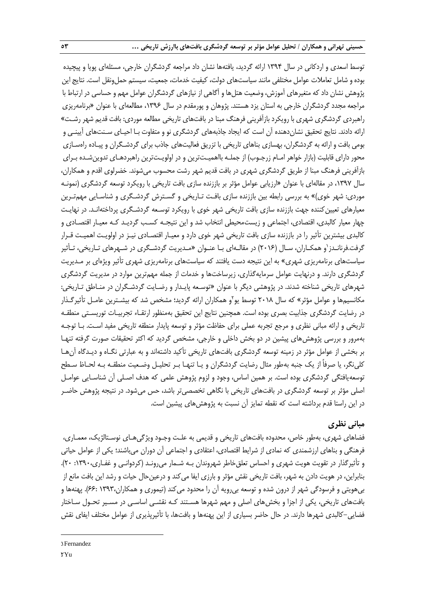توسط اسعدی و اردکانی در سال ۱۳۹۴ ارائه گردید، یافتهها نشان داد مراجعه گردشگران خارجی، مسئلهای پویا و پیچیده بوده و شامل تعامالت عوامل مختلفی مانند سیاستهای دولت، کیفیت خدمات، جمعیت، سیستم حملونقل است. نتایج این پژوهش نشان داد که متغیرهای آموزش، وضعیت هتلها و آگاهی از نیازهای گردشگران عوامل مهم و حساسی در ارتباط با مراجعه مجدد گردشگران خارجی به استان یزد هستند. پژوهان و پورمقدم در سال ۱۳۹۶، مطالعهای با عنوان «برنامهریزی راهبردی گردشگری شهری با رویکرد بازآفرینی فرهنگ مبنا در بافتهای تاریخی مطالعه موردی: بافت قدیم شهر رشـت« ارائه دادند. نتایج تحقیق نشاندهنده آن است که ایجاد جاذبههای گردشگری نو و متفاوت بـا احیـای سـنتهای آیینـی و بومی بافت و ارائه به گردشگران، بهسازی بناهای تاریخی با تزریق فعالیتهای جاذب برای گردشـگران و پیـاده راهسـازی محور دارای قابلیت (بازار خواهر امـام زرجـوب) از جملـه بااهمیـتترین و در اولویـتترین راهبردهـای تدوینشـده بـرای بازآفرینی فرهنگ مبنا از طریق گردشگری شهری در بافت قدیم شهر رشت محسوب میشوند. خضرلوی اقدم و همکاران، سال ،1397 در مقالهای با عنوان »ارزیابی عوامل مؤثر بر باززنده سازی بافت تاریخی با رویکرد توسعه گردشگری )نمونـه موردی: شهر خوی)» به بررسی رابطه بین باززنده سازی بافت تـاریخی و گسـترش گردشـگری و شناسـایی مهمتـرین معیارهای تعیینکننده جهت باززنده سازی بافت تاریخی شهر خوی با رویکرد توسـعه گردشـگری پرداختهانـد. در نهایـت چهار معیار کالبدی، اقتصادی، اجتماعی و زیستمحیطی انتخاب شد و این نتیجـه کسـب گردیـد کـه معیـار اقتصـادی و کالبدی بیشترین تأثیر را در باززنده سازی بافت تاریخی شهر خوی دارد و معیـار اقتصـادی نیـز در اولویـت اهمیـت قـرار گرفت.فرنانـدز (و همکـاران، سـال (۲۰۱۶) در مقالـهای بـا عنـوان «مـدیریت گردشـگری در شـهرهای تـاریخی، تـأثیر سیاستهای برنامهریزی شهری« به این نتیجه دست یافتند که سیاستهای برنامهریزی شهری تأثیر ویژهای بر مـدیریت گردشگری دارند. و درنهایت عوامل سرمایهگذاری، زیرساختها و خدمات از جمله مهمترین موارد در مدیریت گردشگری شهرهای تاریخی شناخته شدند. در پژوهشی دیگر با عنوان »توسـعه پایـدار و رضـایت گردشـگران در منـاطق تـاریخی: مکانسیمها و عوامل مؤثر» که سال ۲۰۱۸ توسط یو<sup>۲</sup>و همکاران ارائه گردید؛ مشخص شد که بیشـترین عامـل تأثیرگـذار در رضایت گردشگری جذابیت بصری بوده است. همچنین نتایج این تحقیق بهمنظور ارتقـاء تجربیـات توریسـتی منطقـه تاریخی و ارائه مبانی نظری و مرجع تجربه عملی برای حفاظت مؤثر و توسعه پایدار منطقه تاریخی مفید اسـت. بـا توجـه بهمرور و بررسی پژوهشهای پیشین در دو بخش داخلی و خارجی، مشخص گردید که اکثر تحقیقات صورت گرفته تنهـا بر بخشی از عوامل مؤثر در زمینه توسعه گردشگری بافتهای تاریخی تأکید داشتهاند و به عبارتی نگـاه و دیـدگاه آنهـا کلینگر، یا صرفاً از یک جنبه بهطور مثال رضایت گردشگران و یـا تنهـا بـر تحلیـل وضـعیت منطقـه بـه لحـا سـطح توسعهیافتگی گردشگری بوده است. بر همین اساس، وجود و لزوم پژوهش علمی که هدف اصـلی آن شناسـایی عوامـل اصلی مؤثر بر توسعه گردشگری در بافتهای تاریخی با نگاهی تخصصیتر باشد، حس میشود. در نتیجه پژوهش حاضـر در این راستا قدم برداشته است که نقطه تمایز آن نسبت به پژوهشهای پیشین است.

## **مبانی نظری**

فضاهای شهری، بهطور خاص، محدوده بافتهای تاریخی و قدیمی به علـت وجـود ویژگیهـای نوسـتالژیک، معمـاری، فرهنگی و بناهای ارزشمندی که نمادی از شرایط اقتصادی، اعتقادی و اجتماعی آن دوران میباشند؛ یکی از عوامل حیاتی و تأثیرگذار در تقویت هویت شهری و احساس تعلقخاطر شهروندان بـه شـمار میرونـد )کردوانـی و غفـاری:1390، 20(. بنابراین، در هویت دادن به شهر، بافت تاریخی نقش مؤثر و بارزی ایفا میکند و درعینحال حیات و رشد این بافت مانع از بیهویتی و فرسودگی شهر از درون شده و توسعه بیرویه آن را محدود میکند )تیموری و همکاران1393، 66:(. پهنهها و بافتهای تاریخی، یکی از اجزا و بخشهای اصلی و مهم شهرها هسـتند کـه نقشـی اساسـی در مسـیر تحـول سـاختار فضایی-کالبدی شهرها دارند. در حال حاضر بسیاری از این پهنهها و بافتها، با تأثیرپذیری از عوامل مختلف ایفای نقش

**.**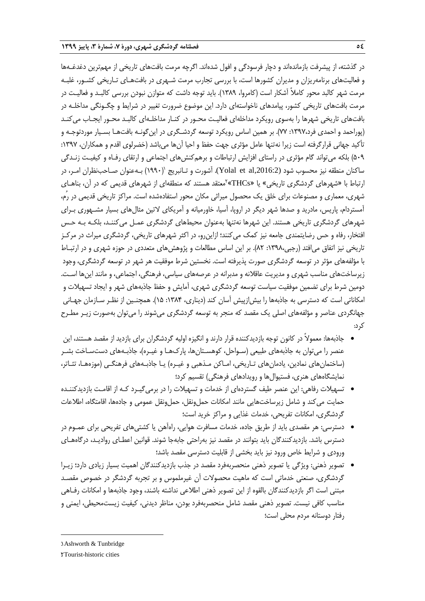در گذشته، از پیشرفت بازماندهاند و دچار فرسودگی و افول شدهاند. اگرچه مرمت بافتهای تاریخی از مهمترین دغدغـهها و فعالیتهای برنامهریزان و مدیران کشورها است، با بررسی تجارب مرمت شـهری در بافتهـای تـاریخی کشـور، غلبـه مرمت شهر کالبد محور کامالً آشکار است )کامروا، 1389(. باید توجه داشت که متوازن نبودن بررسی کالبـد و فعالیـت در مرمت بافتهای تاریخی کشور، پیامدهای ناخواستهای دارد. این موضوع ضرورت تغییر در شرایط و چگـونگی مداخلـه در بافتهای تاریخی شهرها را بهسوی رویکرد مداخلهای فعالیـت محـور در کنـار مداخلـهای کالبـد محـور ایجـاب میکنـد )پوراحمد و احمدی فرد:1397، 77(. بر همین اساس رویکرد توسعه گردشـگری در اینگونـه بافتهـا بسـیار موردتوجـه و تأکید جهانی قرارگرفته است زیرا نهتنها عامل مؤثری جهت حفظ و احیا آنها میباشد (خضرلوی اقدم و همکاران، ۱۳۹۷: 509( بلکه میتواند گام مؤثری در راستای افزایش ارتباطات و برهمکنشهای اجتماعی و ارتقای رفـاه و کیفیـت زنـدگی ساکنان منطقه نیز محسوب شود (Yolal et al,2016:2). آشورت و تـانبریج (۱۹۹۰) بـهعنوان صـاحبنظران امـر، در رتباط با «شهرهای گردشگری تاریخی» یا «THCs»<sup>۲</sup>معتقد هستند که منطقهای از شهرهای قدیمی که در آن، بناهـای شهری، معماری و مصنوعات برای خلق یک محصول میراثی مکان محور استفادهشده است. مراکز تاریخی قدیمی در رُم، آمستردام، پاریس، مادرید و صدها شهر دیگر در اروپا، آسیا، خاورمیانه و آمریکای التین مثالهای بسیار مشـهوری بـرای شهرهای گردشگری تاریخی هستند. این شهرها نهتنها بهعنوان محیطهای گردشگری عمـل میکننـد، بلکـه بـه حـس افتخار، رفاه و حس رضایتمندی جامعه نیز کمک میکنند؛ ازاینرو، در اکثر شهرهای تاریخی، گردشگری میراث در مرکـز تاریخی نیز اتفاق میافتد (رجبی،١٣٩٨: ٨٢). بر این اساس مطالعات و پژوهشهای متعددی در حوزه شهری و در ارتبـاط با مؤلفههای مؤثر در توسعه گردشگری صورت پذیرفته است. نخستین شرط موفقیت هر شهر در توسعه گردشگری، وجود زیرساختهای مناسب شهری و مدیریت عاقالنه و مدبرانه در عرصههای سیاسی، فرهنگی، اجتماعی، و مانند اینها اسـت. دومین شرط برای تضمین موفقیت سیاست توسعه گردشگری شهری، آمایش و حفب جاذبههای شهر و ایجاد تسهیالت و امکاناتی است که دسترسی به جاذبهها را بیش|زپیش آسان کند (دیناری، ۱۳۸۴: ۱۵). همچنـین از نظـر سـازمان جهـانی جهانگردی عناصر و مؤلفههای اصلی یک مقصد که منجر به توسعه گردشگری میشوند را میتوان بهصورت زیـر مطـرح کرد:

- جاذبهها: معموالً در کانون توجه بازدیدکننده قرار دارند و انگیزه اولیه گردشگران برای بازدید از مقصد هستند، این عنصر را میتوان به جاذبههای طبیعی (سـواحل، کوهسـتانها، پارک<code>مـا و غیـره)، جاذبـههای دستسـاخت بشـر</code> )ساختمانهای نمادین، یادمانهای تـاریخی، امـاکن مـذهبی و غیـره( یـا جاذبـههای فرهنگـی )موزههـا، تئـاتر، نمایشگاههای هنری، فستیوالها و رویدادهای فرهنگی) تقسیم کرد؛
- تسهیالت رفاهی: این عنصر طیف گستردهای از خدمات و تسهیالت را در برمیگیـرد کـه از اقامـت بازدیدکننـده حمایت میکند و شامل زیرساختهایی مانند امکانات حملونقل، حملونقل عمومی و جادهها، اقامتگاه، اطالعات گردشگری، امکانات تفریحی، خدمات غذایی و مراکز خرید است؛
- دسترسی: هر مقصدی باید از طریق جاده، خدمات مسافرت هوایی، راهآهن یا کشتیهای تفریحی برای عمـوم در دسترس باشد. بازدیدکنندگان باید بتوانند در مقصد نیز بهراحتی جابهجا شوند. قوانین اعطـای روادیـد، درگاههـای ورودی و شرایط خاص ورود نیز باید بخشی از قابلیت دسترسی مقصد باشد؛
- تصویر ذهنی: ویژگی یا تصویر ذهنی منحصربهفرد مقصد در جذب بازدیدکنندگان اهمیت بسیار زیادی دارد؛ زیـرا گردشگری، صنعتی خدماتی است که ماهیت محصوالت آن غیرملموس و بر تجربه گردشگر در خصوص مقصـد مبتنی است اگر بازدیدکنندگان بالقوه از این تصویر ذهنی اطالعی نداشته باشند، وجود جاذبهها و امکانات رفـاهی مناسب کافی نیست. تصویر ذهنی مقصد شامل منحصربهفرد بودن، مناظر دیدنی، کیفیت زیستمحیطی، ایمنی و رفتار دوستانه مردم محلی است؛

**.** 

YTourist-historic cities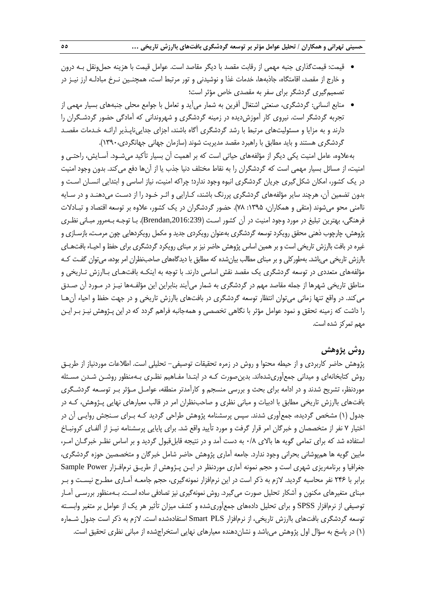- قیمت: قیمتگذاری جنبه مهمی از رقابت مقصد با دیگر مقاصد است. عوامل قیمت با هزینه حملونقل بـه درون و خارج از مقصد، اقامتگاه، جاذبهها، خدمات غذا و نوشیدنی و تور مرتبط است، همچنـین نـرخ مبادلـه ارز نیـز در تصمیمگیری گردشگر برای سفر به مقصدی خاص مؤثر است؛
- منابع انسانی: گردشگری، صنعتی اشتغال آفرین به شمار میآید و تعامل با جوامع محلی جنبههای بسیار مهمی از تجربه گردشگر است. نیروی کار آموزشدیده در زمینه گردشگری و شهروندانی که آمادگی حضور گردشـگران را دارند و به مزایا و مسئولیتهای مرتبط با رشد گردشگری آگاه باشند، اجزای جدایی ناپـذیر ارائـه خـدمات مقصـد گردشگری هستند و باید مطابق با راهبرد مقصد مدیریت شوند (سازمان جهانی جهانگردی،۱۳۹۰).

بهعالوه، عامل امنیت یکی دیگر از مؤلفههای حیاتی است که بر اهمیت آن بسیار تأکید میشـود. آسـایش، راحتـی و امنیت، از مسائل بسیار مهمی است که گردشگران را به نقاط مختلف دنیا جذب یا از آنها دفع میکند. بدون وجود امنیت در یک کشور، امکان شکلگیری جریان گردشگری انبوه وجود ندارد؛ چراکه امنیت، نیاز اساسی و ابتدایی انسـان اسـت و بدون تضمین آن، هرچند سایر مؤلفههای گردشگری پررنگ باشند، کـارایی و اثـر خـود را از دسـت میدهنـد و در سـایه ناامنی محو میشوند (متقی و همکاران، ۱۳۹۵: ۷۸). حضور گردشگران در یک کشور، علاوه بر توسعه اقتصاد و تبـادلات فرهنگی، بهترین تبلیغ در مورد وجود امنیت در آن کشور اسـت ),2016:239Brendan). بـا توجـه بـهمرور مبـانی نظـری پژوهش، چارچوب ذهنی محقق رویکرد توسعه گردشگری بهعنوان رویکردی جدید و مکمل رویکردهایی چون مرمـت، بازسـازی و غیره در بافت باارزش تاریخی است و بر همین اساس پژوهش حاضر نیز بر مبنای رویکرد گردشگری برای حفب و احیـاء بافتهـای باارزش تاریخی میباشد. بهطورکلی و بر مبنای مطالب بیانشده که مطابق با دیدگاههای صاحبنظران امر بوده، میتوان گفـت کـه مؤلفههای متعددی در توسعه گردشگری یک مقصد نقش اساسی دارند. با توجه به اینکـه بافتهـای بـاارزش تـاریخی و مناطق تاریخی شهرها از جمله مقاصد مهم در گردشگری به شمار میآیند بنابراین این مؤلفـهها نیـز در مـورد آن صـدق میکند. در واقع تنها زمانی میتوان انتظار توسعه گردشگری در بافتهای باارزش تاریخی و در جهت حفب و احیاء آنهـا را داشت که زمینه تحقق و نمود عوامل مؤثر با نگاهی تخصصی و همهجانبه فراهم گردد که در این پـژوهش نیـز بـر ایـن مهم تمرکز شده است.

#### **روش پژوهش**

پژوهش حاضر کاربردی و از حیطه محتوا و روش در زمره تحقیقات توصیفی- تحلیلی است. اطالعات موردنیاز از طریـق روش کتابخانهای و میدانی جمعآوریشدهاند. بدینصورت کـه در ابتـدا مفـاهیم نظـری بـهمنظور روشـن شـدن مسـئله موردنظر، تشریح شدند و در ادامه برای بحث و بررسی منسجم و کارآمدتر منطقه، عوامـل مـؤثر بـر توسـعه گردشـگری بافتهای باارزش تاریخی مطابق با ادبیات و مبانی نظری و صاحبنظران امر در قالب معیارهای نهایی پـژوهش، کـه در جدول )1( مشخص گردیده، جمعآوری شدند. سپس پرسشنامه پژوهش طراحی گردید کـه بـرای سـنجش روایـی آن در اختیار 7 نفر از متخصصان و خبرگان امر قرار گرفت و مورد تأیید واقع شد. برای پایایی پرسشنامه نیـز از آلفـای کرونبـاخ استفاده شد که برای تمامی گویه ها باالی 0/8 به دست آمد و در نتیجه قابلقبول گردید و بر اساس نظـر خبرگـان امـر، مابین گویه ها همپوشانی بحرانی وجود ندارد. جامعه آماری پژوهش حاضر شامل خبرگان و متخصصین حوزه گردشگری، جغرافیا و برنامهریزی شهری است و حجم نمونه آماری موردنظر در ایـن پـژوهش از طریـق نرمافـزار Power Sample برابر با 246 نفر محاسبه گردید. الزم به ذکر است در این نرمافزار نمونهگیری، حجم جامعـه آمـاری مطـرح نیسـت و بـر مبنای متغیرهای مکنون و آشکار تحلیل صورت میگیرد. روش نمونهگیری نیز تصادفی ساده اسـت. بـهمنظور بررسـی آمـار توصیفی از نرمافزار SPSS و برای تحلیل دادههای جمعآوریشده و کشف میزان تأثیر هر یک از عوامل بر متغیر وابسـته توسعه گردشگری بافتهای باارزش تاریخی، از نرمافزار PLS Smart استفادهشده است. الزم به ذکر است جدول شـماره (۱) در پاسخ به سؤال اول پژوهش می باشد و نشان دهنده معیارهای نهایی استخراجشده از مبانی نظری تحقیق است.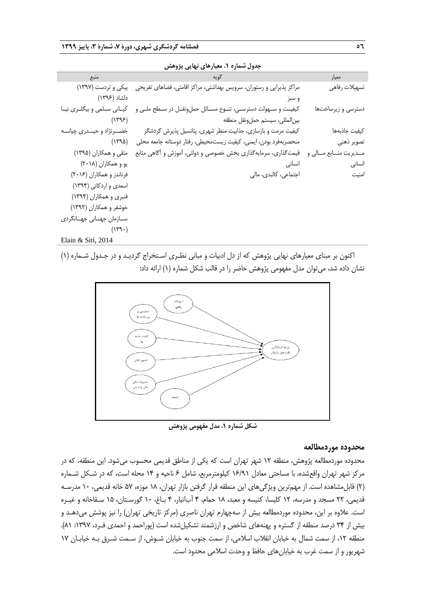| جدول شماره ۱. معیارهای نهایی پژوهش |                                                                                            |                    |  |  |  |
|------------------------------------|--------------------------------------------------------------------------------------------|--------------------|--|--|--|
| منبع                               |                                                                                            | معيار              |  |  |  |
| بیکی و تردست (۱۳۹۷)                | مراکز پذیرایی و رستوران، سرویس بهداشتی، مراکز اقامتی، فضاهای تفریحی                        | تسهيلات رفاهى      |  |  |  |
| دلشاد (۱۳۹۶)                       | و سبز                                                                                      |                    |  |  |  |
| کیـانی سـلمی و بیگلـری نیـا        | کیفیـت و ســهولت دسترســى، تنــوع مســائل حملونقــل در ســطح ملــى و                       | دسترسى و زيرساختها |  |  |  |
| (1495)                             | بين لمللي، سيستم حملونقل منطقه                                                             |                    |  |  |  |
| خضـــرنژاد و حيـــدري چيانـــه     | کیفیت مرمت و بازسازی، جذابیت منظر شهری، پتانسیل پذیرش گردشگر                               | كيفيت جاذبهها      |  |  |  |
| (1490)                             | منحصربهفرد بودن، ايمنى، كيفيت زيستمحيطى، رفتار دوستانه جامعه محلى                          | تصوير ذهني         |  |  |  |
| متقی و همکاران (۱۳۹۵)              | مــدیریت منـــابع مـــالی و §قیمتگذاری، سرمایهگذاری بخش خصوصی و دولتی، آموزش و أگاهی منابع |                    |  |  |  |
| یو و همکاران (۲۰۱۸)                | انسانى                                                                                     | انسانى             |  |  |  |
| فرناندز و همکاران (۲۰۱۶)           | اجتماعی، کالبدی، مالی                                                                      | امنيت              |  |  |  |
| اسعدي و اردكاني (١٣٩۴)             |                                                                                            |                    |  |  |  |
| قنبری و همکاران (۱۳۹۴)             |                                                                                            |                    |  |  |  |
| خوشفر و همکاران (۱۳۹۲)             |                                                                                            |                    |  |  |  |
| سازمان جهـاني جهـانگردي            |                                                                                            |                    |  |  |  |
| (149)                              |                                                                                            |                    |  |  |  |
| Elain & Siti, 2014                 |                                                                                            |                    |  |  |  |

اکنون بر مبنای معیارهای نهایی پژوهش که از دل ادبیات و مبانی نظـری اسـتخراج گردیـد و در جـدول شـماره )1( نشان داده شد، میتوان مدل مفهومی پژوهش حاضر را در قالب شکل شماره )1( ارائه داد:



**شکل شماره .1 مدل مفهومی پژوهش**

#### **محدوده موردمطالعه**

محدوده موردمطالعه پژوهش، منطقه 12 شهر تهران است که یکی از مناطق قدیمی محسوب میشود. این منطقه، که در مرکز شهر تهران واقعشده، با مساحتی معادل 16/91 کیلومترمربع، شامل 6 ناحیه و 14 محله است، که در شـکل شـماره )2( قابلمشاهده است. از مهمترین ویژگیهای این منطقه قرار گرفتن بازار تهران، 18 موزه، 57 خانه قدیمی، 10 مدرسـه قدیمی، 22 مسجد و مدرسه، 12 کلیسا، کنیسه و معبد، 18 حمام، 4 آبانبار، 4 بـاغ، 10 گورسـتان، 15 سـقاخانه و غیـره است. علاوه بر این، محدوده موردمطالعه بیش از سهچهارم تهران ناصری (مرکز تاریخی تهران) را نیز پوشش میدهـد و بیش از ۳۴ درصد منطقه از گستره و پهنههای شاخص و ارزشمند تشکیلشده است (پوراحمد و احمدی فـرد، ۱۳۹۷: ۸۱). منطقه ،12 از سمت شمال به خیابان انقالب اسالمی، از سمت جنوب به خیابان شـوش، از سـمت شـرق بـه خیابـان 17 شهریور و از سمت غرب به خیابان های حافظ و وحدت اسلامی محدود است.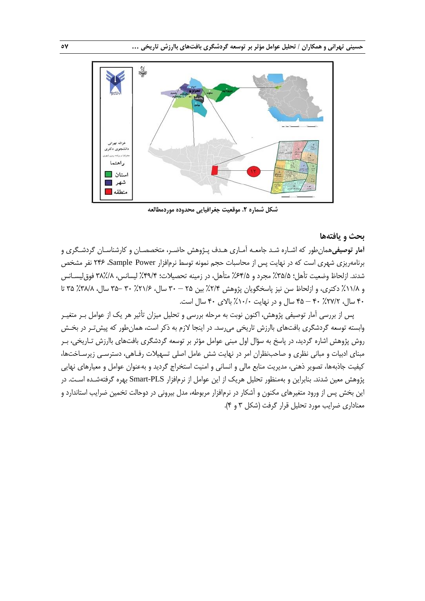

**شکل شماره .2 موقعیت جغرافیایی محدوده موردمطالعه**

#### **بحث و یافتهها**

**آمار توصیفی**همانطور که اشـاره شـد جامعـه آمـاری هـدف پـژوهش حاضـر، متخصصـان و کارشناسـان گردشـگری و برنامهریزی شهری است که در نهایت پس از محاسبات حجم نمونه توسط نرمافزار Sample Power نفر مشخص شدند. ازلحاظ وضعیت تأهل؛ 85٪/ مجرد و ۶۴/۵٪ متأهل، در زمینه تحصیلات؛ ۴۹/۴٪ لیسانس، ۳۸٪۸ فوق|یســانس و ١١/٨٪ دکتری، و ازلحاظ سن نیز پاسخگویان پژوهش ٢/٤٪ بین ٢٥ – ٣٠ سال، ٢١/۶٪ ٣٥ -٣٥ سال، ٣٨/٨٪ ٣٥ تا 40 سال، %27/2 40 – 45 سال و در نهایت %10/0 باالی 40 سال است.

پس از بررسی آمار توصیفی پژوهش، اکنون نوبت به مرحله بررسی و تحلیل میزان تأثیر هر یک از عوامل بـر متغیـر وابسته توسعه گردشگری بافتهای باارزش تاریخی میرسد. در اینجا الزم به ذکر است، همانطور که پیشتـر در بخـش روش پژوهش اشاره گردید، در پاسخ به سؤال اول مبنی عوامل مؤثر بر توسعه گردشگری بافتهای باارزش تـاریخی، بـر مبنای ادبیات و مبانی نظری و صاحبنظران امر در نهایت شش عامل اصلی تسهیالت رفـاهی، دسترسـی زیرسـاختها، کیفیت جاذبهها، تصویر ذهنی، مدیریت منابع مالی و انسانی و امنیت استخراج گردید و بهعنوان عوامل و معیارهای نهایی پژوهش معین شدند. بنابراین و بهمنظور تحلیل هریک از این عوامل از نرمافزار PLS-Smart بهره گرفتهشـده اسـت. در این بخش پس از ورود متغیرهای مکنون و آشکار در نرمافزار مربوطه، مدل بیرونی در دوحالت تخمین ضرایب استاندارد و معناداری ضرایب مورد تحلیل قرار گرفت )شکل 3 و 4(.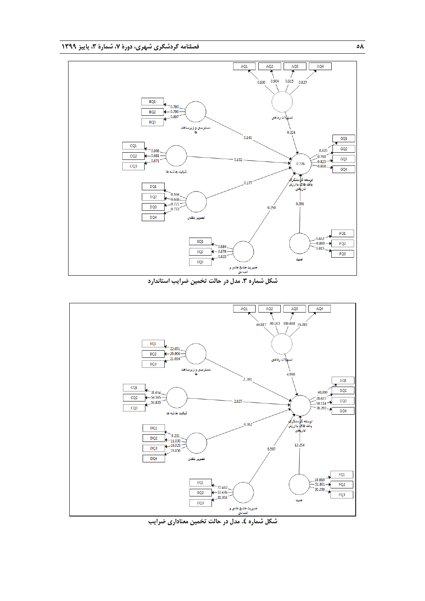

**شکل شماره .3 مدل در حالت تخمین ضرایب استاندارد**



.<br>شکل شماره ٤. مدل در حالت تخمین معناداری ضرایب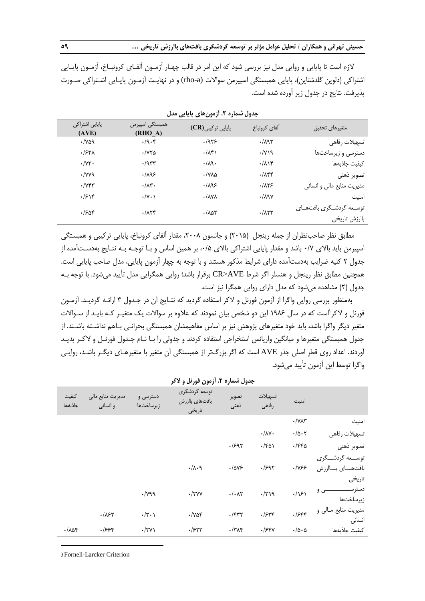الزم است تا پایایی و روایی مدل نیز بررسی شود که این امر در قالب چهـار آزمـون آلفـای کرونبـاخ، آزمـون پایـایی اشتراکی )دلوین گلدشتاین(، پایایی همبستگی اسپیرمن سواالت (a-rho (و در نهایـت آزمـون پایـایی اشـتراکی صـورت پذیرفت. نتایج در جدول زیر آورده شده است.

| پایایی اشتراکی<br>(AVE)          | همبستگي اسپيرمن<br>(RHO A)    | پایایی ترکیبی(CR)                  | آلفاي كرونباخ      | متغيرهاى تحقيق               |
|----------------------------------|-------------------------------|------------------------------------|--------------------|------------------------------|
| $\cdot$ / $\vee$ $\circ$ $\circ$ | $\cdot$ /9 $\cdot$ ۴          | .1959                              | $\cdot$ /195       | تسهيلات رفاهي                |
| $.754\text{A}$                   | $\cdot$ / $\vee\vee\triangle$ | $\cdot/\lambda$ ۴۱                 | $\cdot$ / $\gamma$ | دسترسی و زیرساختها           |
| $\cdot$ / $\vee$ r $\cdot$       | .795                          | $\cdot/\lambda$ 9.                 | $\cdot/\lambda$    | كيفيت جاذبهها                |
| $\cdot$ /vvq                     | .1195                         | $\cdot$ / $\vee$ $\wedge$ $\wedge$ | $\cdot/\lambda$ ۴۴ | تصوير ذهني                   |
| $\cdot$ / $V$ $\uparrow$ r       | $\cdot/\lambda$ ۳.            | .1195                              | .115               | مدیریت منابع مالی و انسانی   |
| $\frac{1}{2}$                    | $\cdot/\gamma \cdot \chi$     | $\cdot$ / $\Lambda$ V $\Lambda$    | $\cdot$ /191       | امنيت                        |
| ۲۵۴-                             | $\cdot$ / $\wedge$ re         | .700                               | $\cdot/\lambda$ ٢٣ | توســعه گردشــگرى بافتـهــاى |
|                                  |                               |                                    |                    | باارزش تاريخي                |

**جدول شماره .2 آزمونهای پایایی مدل**

مطابق نظر صاحبنظران از جمله رینجل (۲۰۱۵) و جانسون ۲۰۰۸، مقدار آلفای کرونباخ، پایایی ترکیبی و همبستگی اسپیرمن باید بالای ۰/۷ باشد و مقدار پایایی اشتراکی بالای ۰/۵، بر همین اساس و بـا توجـه بـه نتـایج بهدسـتآمده از جدول ۲ کلیه ضرایب بهدستآمده دارای شرایط مذکور هستند و با توجه به چهار آزمون پایایی، مدل صاحب پایایی است. همچنین مطابق نظر رینجل و هنسلر اگر شرط AVE>CR برقرار باشد؛ روایی همگرایی مدل تأیید میشود. با توجه بـه جدول )2( مشاهده میشود که مدل دارای روایی همگرا نیز است.

بهمنظور بررسی روایی واگرا از آزمون فورنل و الکر استفاده گردید که نتـایج آن در جـدول 3 ارائـه گردیـد. آزمـون فورنل و لاکر ٰاست که در سال ۱۹۸۶ این دو شخص بیان نمودند که علاوه بر سوالات یک متغیـر کـه بایـد از سـوالات متغیر دیگر واگرا باشد، باید خود متغیرهای پژوهش نیز بر اساس مفاهیمشان همبستگی بحرانـی بـاهم نداشـته باشـند. از جدول همبستگی متغیرها و میانگین واریانس استخراجی استفاده کردند و جدولی را بـا نـام جـدول فورنـل و الکـر پدیـد آوردند. اعداد روی قطر اصلی جذر AVE است که اگر بزررتر از همبستگی آن متغیر با متغیرهـای دیگـر باشـد، روایـی واگرا توسط این آزمون تأیید میشود.

|                                                 | امنىت                       | تسهيلات<br>رفاهي          | تصوير<br>ذهنى             | توسعه گردشگری<br>بافتهای باارزش<br>تاريخي | دسترسی و<br>زيرساختها   | مديريت منابع مالي<br>و انسانی | كيفيت<br>جاذبهها        |
|-------------------------------------------------|-----------------------------|---------------------------|---------------------------|-------------------------------------------|-------------------------|-------------------------------|-------------------------|
| امنيت                                           | $\cdot$ /YAY                |                           |                           |                                           |                         |                               |                         |
| تسهيلات رفاهي                                   | $\cdot/\Delta \cdot 7$      | $\cdot/\lambda$ Y $\cdot$ |                           |                                           |                         |                               |                         |
| تصوير ذهني                                      | $\cdot$ /۴۴۵                | $\cdot$ /۴۵۱              | .1597                     |                                           |                         |                               |                         |
| توســـعه گردشـــگرى<br>بافتهاى باارزش<br>تاريخي | $\cdot$ /Y۶۶                | $\cdot$ /۶9۲              | $\cdot$ /۵۷۶              | $\cdot/\lambda\cdot$ ٩                    |                         |                               |                         |
| دستر س<br>سی و<br>زيرساختها                     | .79                         | $\cdot/\tau$ 19           | $\cdot/\cdot \wedge \tau$ | $\cdot$ /۲۷۷                              | $\cdot$ / $\gamma$ ۹۹   |                               |                         |
| مدیریت منابع مـالی و<br>انسانى                  | .5549                       | .7544                     | $\cdot$ /۴۳۲              | $\cdot$ / $\vee$ a۴                       | $\cdot/\tau \cdot \chi$ | $\cdot/\lambda$ ۶۲            |                         |
| كيفيت جاذبهها                                   | $\cdot/\Delta \cdot \Delta$ | .754V                     | $\cdot$ /٣٨۴              | $\cdot$ /۶۲۳                              | $\cdot$ /۳ $\gamma$     | ۶۶۴.                          | $\cdot/\lambda\Delta f$ |
|                                                 |                             |                           |                           |                                           |                         |                               |                         |

**جدول شماره .2 آزمون فورنل و الکر**

1. Fornell-Larcker Criterion

1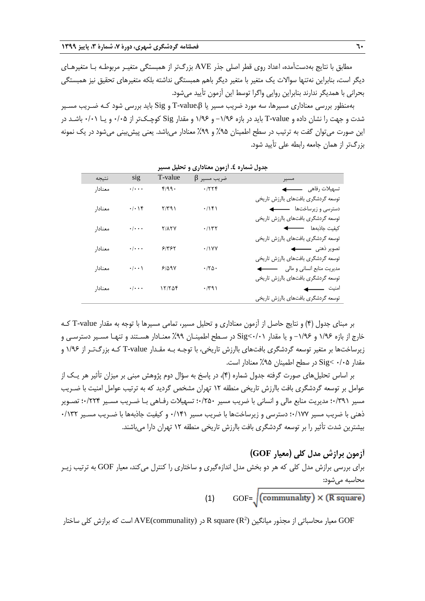مطابق با نتایج بهدستآمده، اعداد روی قطر اصلی جذر AVE بزررتر از همبستگی متغیـر مربوطـه بـا متغیرهـای دیگر است، بنابراین نهتنها سواالت یک متغیر با متغیر دیگر باهم همبستگی نداشته بلکه متغیرهای تحقیق نیز همبستگی بحرانی با همدیگر ندارند بنابراین روایی واگرا توسط این آزمون تأیید می شود.

بهمنظور بررسی معناداری مسیرها، سه مورد ضریب مسیر یا β،value-T و Sig باید بررسی شود کـه ضـریب مسـیر شدت و جهت را نشان داده و value-T باید در بازه -1/96 و 1/96 و مقدار Sig کوچـکتر از 0/05 و یـا 0/01 باشـد در این صورت میتوان گفت به ترتیب در سطح اطمینان %95 و %99 معنادار میباشد. یعنی پیشبینی میشود در یک نمونه بزرگتر از همان جامعه رابطه علی تأیید شود.

| نتيجه   | sig                             | T-value      | $\beta$ ضریب مسیر | مسير                                |
|---------|---------------------------------|--------------|-------------------|-------------------------------------|
| معنادار | $\cdot \, \! \cdot \cdot \cdot$ | f/99.        | .7779             |                                     |
|         |                                 |              |                   | توسعه گردشگری بافتهای باارزش تاریخی |
| معنادار | $\cdot/\cdot$ \ $\uparrow$      | $Y/Y$ ۹۱     | .799              |                                     |
|         |                                 |              |                   | توسعه گردشگری بافتهای باارزش تاریخی |
| معنادار | $\cdot\, \!\cdot\cdot\cdot\,$   | <b>TIATY</b> | .7157             | كيفيت جاذبهها <del>← ← ★</del>      |
|         |                                 |              |                   | توسعه گردشگری بافتهای باارزش تاریخی |
| معنادار | $\cdot\, \!\cdot\cdot\cdot\,$   | ۶۱۳۶۲        | .11YY             |                                     |
|         |                                 |              |                   | توسعه گردشگری بافتهای باارزش تاریخی |
| معنادار | $\cdot$ / $\cdot$ /             | 9/09V        | $\cdot$ /٢۵.      |                                     |
|         |                                 |              |                   | توسعه گردشگری بافتهای باارزش تاریخی |
| معنادار | $\cdot\, \!\cdot\cdot\cdot\,$   | 17/709       | $\cdot$ /۳۹۱      |                                     |
|         |                                 |              |                   | توسعه گردشگری بافتهای باارزش تاریخی |

**جدول شماره .4 آزمون معناداری و تحلیل مسیر**

بر مبنای جدول )4( و نتایج حاصل از آزمون معناداری و تحلیل مسیر، تمامی مسیرها با توجه به مقدار value-T کـه خارج از بازه 1/96 و -1/96 و یا مقدار 0/01>Sig در سـطح اطمینـان %99 معنـادار هسـتند و تنهـا مسـیر دسترسـی و زیرساختها بر متغیر توسعه گردشگری بافتهای باارزش تاریخی، با توجـه بـه مقـدار value-T کـه بزررتـر از 1/96 و مقدار 0/05 >Sig در سطح اطمینان %95 معنادار است.

بر اساس تحلیلهای صورت گرفته جدول شماره (۴)، در پاسخ به سؤال دوم پژوهش مبنی بر میزان تأثیر هر یـک از عوامل بر توسعه گردشگری بافت باارزش تاریخی منطقه 12 تهران مشخص گردید که به ترتیب عوامل امنیت با ضـریب مسیر 0/391؛ مدیریت منابع مالی و انسانی با ضریب مسیر 0/250؛ تسهیالت رفـاهی بـا ضـریب مسـیر 0/224؛ تصـویر ذهنی با ضریب مسیر 0/177؛ دسترسی و زیرساختها با ضریب مسیر 0/141 و کیفیت جاذبهها با ضـریب مسـیر 0/132 بیشترین شدت تأثیر را بر توسعه گردشگری بافت باارزش تاریخی منطقه 12 تهران دارا میباشند.

**آزمون برازش مدل کلی )معیار GOF)** برای بررسی برازش مدل کلی که هر دو بخش مدل اندازهگیری و ساختاری را کنترل میکند، معیار GOF به ترتیب زیـر محاسبه میشود:

(1) GOF= $\sqrt{\text{(communality)}} \times (\overline{\text{R square}})$ 

ست که برازش کلی ساختار (R square (R $^2$ ) معیار محاسباتی از مجذور میانگین R square (R $^2$ ) معیار محاسباتی از مجذور میانگین  $\rm GOF$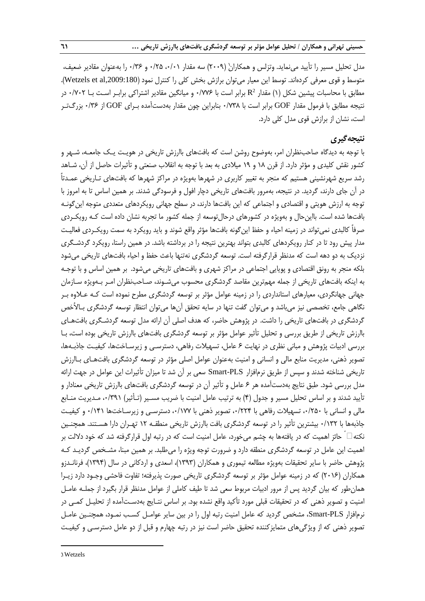مدل تحلیل مسیر را تأیید مینماید. وتزلس و همکاران (۲۰۰۹) سه مقدار ۰/۰۱، ۲۵/۰ و ۱/۳۶ را بهعنوان مقادیر ضعیف، متوسط و قوی معرفی کردهاند. توسط این معیار میتوان برازش بخش کلی را کنترل نمود (Wetzels et al,2009:180). مطابق با محاسبات پیشین شکل (۱) مقدار  $\mathrm{R}^2$  برابر است با ۱٬۷۷۶ و میانگین مقادیر اشتراکی برابـر اسـت بـا ۰/۷۰۲ در نتیجه مطابق با فرمول مقدار GOF برابر است با 0/738 بنابراین چون مقدار بهدستآمده بـرای GOF از 0/36 بزررتـر است، نشان از برازش قوی مدل کلی دارد.

# **نتیجهگیری**

با توجه به دیدگاه صاحبنظران امر، بهوضوح روشن است که بافتهای باارزش تاریخی در هویـت یـک جامعـه، شـهر و کشور نقش کلیدی و مؤثر دارد. از قرن 18 و 19 میالدی به بعد با توجه به انقالب صنعتی و تأثیرات حاصل از آن، شـاهد رشد سریع شهرنشینی هستیم که منجر به تغییر کاربری در شهرها بهویژه در مراکز شهرها که بافتهای تـاریخی عمـدتاً در آن جای دارند، گردید. در نتیجه، بهمرور بافتهای تاریخی دچار افول و فرسودگی شدند. بر همین اساس تا به امروز با توجه به ارزش هویتی و اقتصادی و اجتماعی که این بافتها دارند، در سطح جهانی رویکردهای متعددی متوجه این گونـه بافتها شده است. بااینحال و بهویژه در کشورهای درحالتوسعه از جمله کشور ما تجربه نشان داده است کـه رویکـردی صرفاً کالبدی نمیتواند در زمینه احیاء و حفظ اینگونه بافتها مؤثر واقع شوند و باید رویکرد به سمت رویکـردی فعالیـت مدار پیش رود تا در کنار رویکردهای کالبدی بتواند بهترین نتیجه را در برداشته باشد. در همین راستا، رویکرد گردشـگری نزدیک به دو دهه است که مدنظر قرارگرفته است. توسعه گردشگری نهتنها باعث حفظ و احیاء بافتهای تاریخی میشود بلکه منجر به رونق اقتصادی و پویایی اجتماعی در مراکز شهری و بافتهای تاریخی میشود. بر همین اساس و با توجـه به اینکه بافتهای تاریخی از جمله مهمترین مقاصد گردشگری محسوب میشـوند، صـاحبنظران امـر بـهویژه سـازمان جهانی جهانگردی، معیارهای استانداردی را در زمینه عوامل مؤثر بر توسعه گردشگری مطرح نموده است کـه عـالوه بـر نگاهی جامع، تخصصی نیز میباشد و میتوان گفت تنها در سایه تحقق آنها میتوان انتظار توسعه گردشگری بـاخخص گردشگری در بافتهای تاریخی را داشت. در پژوهش حاضر، که هدف اصلی آن ارائه مدل توسعه گردشـگری بافتهـای باارزش تاریخی از طریق بررسی و تحلیل تأثیر عوامل مؤثر بر توسعه گردشگری بافتهای باارزش تاریخی بوده است، بـا بررسی ادبیات پژوهش و مبانی نظری در نهایت 6 عامل، تسهیالت رفاهی، دسترسـی و زیرسـاختها، کیفیـت جاذبـهها، تصویر ذهنی، مدیریت منابع مالی و انسانی و امنیت بهعنوان عوامل اصلی مؤثر در توسعه گردشگری بافتهـای بـاارزش تاریخی شناخته شدند و سپس از طریق نرمافزار PLS-Smart سعی بر آن شد تا میزان تأثیرات این عوامل در جهت ارائه مدل بررسی شود. طبق نتایج بهدستآمده هر 6 عامل و تأثیر آن در توسعه گردشگری بافتهای باارزش تاریخی معنادار و تأیید شدند و بر اساس تحلیل مسیر و جدول (۴) به ترتیب عامل امنیت با ضریب مسـیر (تـأثیر) ۰۰/۳۹۱، مـدیریت منـابع مالی و انسانی با ۰/۲۵۰، تسهیلات رفاهی با ۰/۲۲۴ تصویر ذهنی با ۰/۱۷۷ دسترسـی و زیرسـاختها ۰/۱۴۱ و کیفیـت جاذبهها با 0/132 بیشترین تأثیر را در توسعه گردشگری بافت باارزش تاریخی منطقـه 12 تهـران دارا هسـتند. همچنـین نکتهٔ حائز اهمیت که در یافتهها به چشم میخورد، عامل امنیت است که در رتبه اول قرارگرفته شد که خود داللت بر اهمیت این عامل در توسعه گردشگری منطقه دارد و ضرورت توجه ویژه را میطلبد. بر همین مبنا، مشـخص گردیـد کـه پژوهش حاضر با سایر تحقیقات بهویژه مطالعه تیموری و همکاران )1393(، اسعدی و اردکانی در سال )1394(، فرنانـدزو همکاران )2016( که در زمینه عوامل مؤثر بر توسعه گردشگری تاریخی صورت پذیرفته؛ تفاوت فاحشی وجـود دارد زیـرا همانطور که بیان گردید پس از مرور ادبیات مربوط سعی شد تا طیف کاملی از عوامل مدنظر قرار بگیرد از جملـه عامـل امنیت و تصویر ذهنی که در تحقیقات قبلی مورد تأکید واقع نشده بود. بر اساس نتـایج بهدسـتآمده از تحلیـل کمـی در نرمافزار PLS-Smart، مشخص گردید که عامل امنیت رتبه اول را در بین سایر عوامـل کسـب نمـود، همچنـین عامـل تصویر ذهنی که از ویژگیهای متمایزکننده تحقیق حاضر است نیز در رتبه چهارم و قبل از دو عامل دسترسـی و کیفیـت

1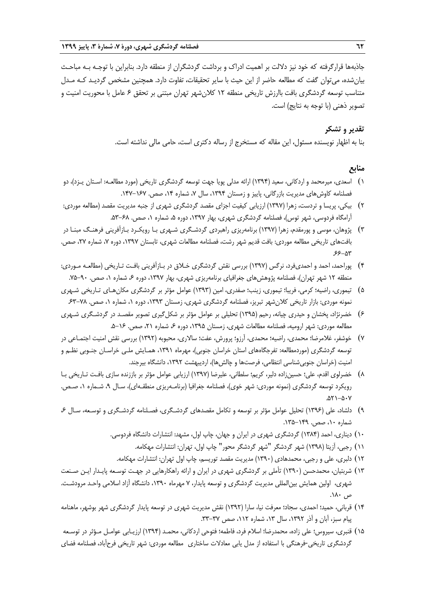جاذبهها قرارگرفته که خود نیز داللت بر اهمیت ادراك و برداشت گردشگران از منطقه دارد. بنابراین با توجـه بـه مباحـ بیانشده، میتوان گفت که مطالعه حاضر از این حیث با سایر تحقیقات، تفاوت دارد. همچنین مشخص گردیـد کـه مـدل متناسب توسعه گردشگری بافت باارزش تاریخی منطقه 12 کالنشهر تهران مبتنی بر تحقق 6 عامل با محوریت امنیت و تصویر ذهنی (با توجه به نتایج) است.

# **تقدیر و تشکر**

بنا به اظهار نویسنده مسئول، این مقاله که مستخرج از رساله دکتری است، حامی مالی نداشته است.

# **منابع**

- 1( اسعدی، میرمحمد و اردکانی، سعید )1394( ارائه مدلی پویا جهت توسعه گردشگری تاریخی )مورد مطالعـه: اسـتان یـزد(، دو فصلنامه کاوشهای مدیریت بازرگانی، پاییز و زمستان ۱۳۹۴، سال ۷، شماره ۱۴، صص. ۱۶۷–۱۴۷.
- 2( بیکی، پریسا و تردست، زهرا )1397( ارزیابی کیفیت اجزای مقصد گردشگری شهری از جنبه مدیریت مقصد )مطالعه موردی: آرامگاه فردوسی، شهر توس)، فصلنامه گردشگری شهری، بهار ۱۳۹۷، دوره ۵، شماره ۱، صص. ۶۸–۵۳.
- 3( پژوهان، موسی و پورمقدم، زهرا )1397( برنامهریزی راهبردی گردشـگری شـهری بـا رویکـرد بـازآفرینی فرهنـگ مبنـا در بافتهای تاریخی مطالعه موردی: بافت قدیم شهر رشت، فصلنامه مطالعات شهری، تابستان ،1397 دوره ،7 شماره ،27 صص.  $55 - 01$
- 4( پوراحمد، احمد و احمدیفرد، نرگس )1397( بررسی نقش گردشگری خـالق در بـازآفرینی بافـت تـاریخی )مطالعـه مـوردی: منطقه ۱۲ شهر تهران)، فصلنامه پژوهشهای جغرافیای برنامهریزی شهری، بهار ۱۳۹۷، دوره ۶ شماره ۱، صص. ۹۰–۷۵.
- 5( تیموری، راضیه؛ کرمی، فریبا؛ تیموری، زینب؛ صفدری، امین )1393( عوامل مؤثر بر گردشگری مکانهـای تـاریخی شـهری نمونه موردی: بازار تاریخی کلان شهر تبریز، فصلنامه گردشگری شهری، زمستان ۱۳۹۳، دوره ۱، شماره ۱، صص. ۷۸-۶۳
- 6( خضرنژاد، پخشان و حیدری چیانه، رحیم )1395( تحلیلی بر عوامل مؤثر بر شکلگیری تصویر مقصـد در گردشـگری شـهری مطالعه موردی: شهر ارومیه، فصلنامه مطالعات شهری، زمستان ۱۳۹۵، دوره ۶ شماره ۲۱، صص. ۱۶-۵.
- 7( خوشفر، غالمرضا؛ محمدی، راضیه؛ محمدی، آرزو؛ پرورش، عفت؛ ساالری، محبوبه )1392( بررسی نقش امنیت اجتمـاعی در توسعه گردشگری (موردمطالعه: تفرجگاههای استان خراسان جنوبی)، مهرماه ۱۳۹۱، همـایش ملـی خراسـان جنـوبی نظـم و امنیت (خراسان جنوبیشناسی انتظامی، فرصتها و چالشها)، اردیبهشت ۱۳۹۲، دانشگاه بیرجند.
- 8( خضرلوی اقدم، علی؛ حسینزاده دلیر، کریم؛ سلطانی، علیرضا )1397( ارزیابی عوامل مؤثر بر باززنده سازی بافـت تـاریخی بـا رویکرد توسعه گردشگری (نمونه موردی: شهر خوی)، فصلنامه جغرافیا (برنامـهریزی منطقـهای)، سـال ۹، شـماره ۱، صـص.  $.071 - 0.7$
- 9( دلشاد، علی )1396( تحلیل عوامل مؤثر بر توسعه و تکامل مقصدهای گردشـگری، فصـلنامه گردشـگری و توسـعه، سـال ،6 شماره ،10 صص. .135-149
	- 10( دیناری، احمد )1384( گردشگری شهری در ایران و جهان، چاپ اول، مشهد: انتشارات دانشگاه فردوسی.
		- 11( رجبی، آزیتا )1398( شهر گردشگر "شهر گردشگر محور" چاپ اول، تهران: انتشارات مهکامه.
		- 12( دلبری، علی و رجبی، محمدهادی )1390( مدیریت مقصد توریسم، چاپ اول تهران: انتشارات مهکامه.
- 13( شربتیان، محمدحسن )1390( تأملی بر گردشگری شهری در ایران و ارائه راهکارهایی در جهـت توسـعه پایـدار ایـن صـنعت شهری، اولین همایش بینالمللی مدیریت گردشگری و توسعه پایدار، 7 مهرماه ،1390 دانشگاه آزاد اسالمی واحـد مرودشـت. ص ۱۸۰.
- 14( قربانی، حمید؛ احمدی، سجاد؛ معرفت نیا، سارا )1392( نقش مدیریت شهری در توسعه پایدار گردشگری شهر بوشهر، ماهنامه پیام سبز، آبان و آذر ۱۳۹۲، سال ۱۳، شماره ۱۱۲، صص ۳۷–۳۳.
- 15( قنبری، سیروس؛ علی زاده، محمدرضا؛ اسالم فرد، فاطمه؛ فتوحی اردکانی، محمـد )1394( ارزیـابی عوامـل مـؤثر در توسـعه گردشگری تاریخی-فرهنگی با استفاده از مدل یابی معادالت ساختاری مطالعه موردی: شهر تاریخی فرحآباد، فصلنامه فضای